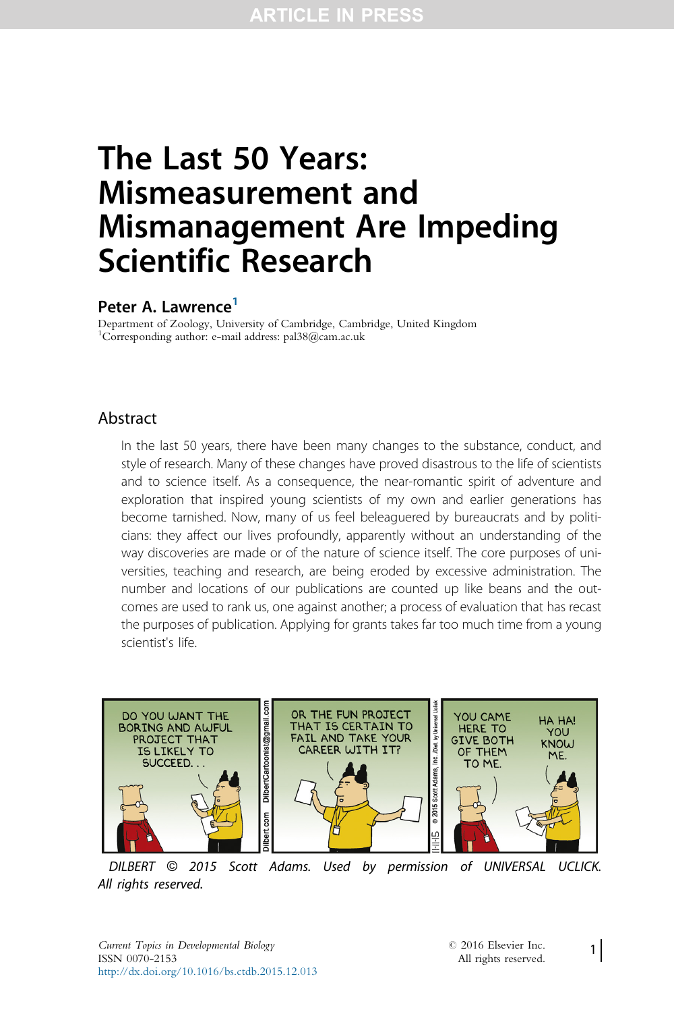# The Last 50 Years: Mismeasurement and Mismanagement Are Impeding Scientific Research

# Peter A. Lawrence<sup>1</sup>

Department of Zoology, University of Cambridge, Cambridge, United Kingdom <sup>1</sup>Corresponding author: e-mail address: pal38@cam.ac.uk

# Abstract

In the last 50 years, there have been many changes to the substance, conduct, and style of research. Many of these changes have proved disastrous to the life of scientists and to science itself. As a consequence, the near-romantic spirit of adventure and exploration that inspired young scientists of my own and earlier generations has become tarnished. Now, many of us feel beleaguered by bureaucrats and by politicians: they affect our lives profoundly, apparently without an understanding of the way discoveries are made or of the nature of science itself. The core purposes of universities, teaching and research, are being eroded by excessive administration. The number and locations of our publications are counted up like beans and the outcomes are used to rank us, one against another; a process of evaluation that has recast the purposes of publication. Applying for grants takes far too much time from a young scientist's life.



DILBERT © 2015 Scott Adams. Used by permission of UNIVERSAL UCLICK. All rights reserved.

1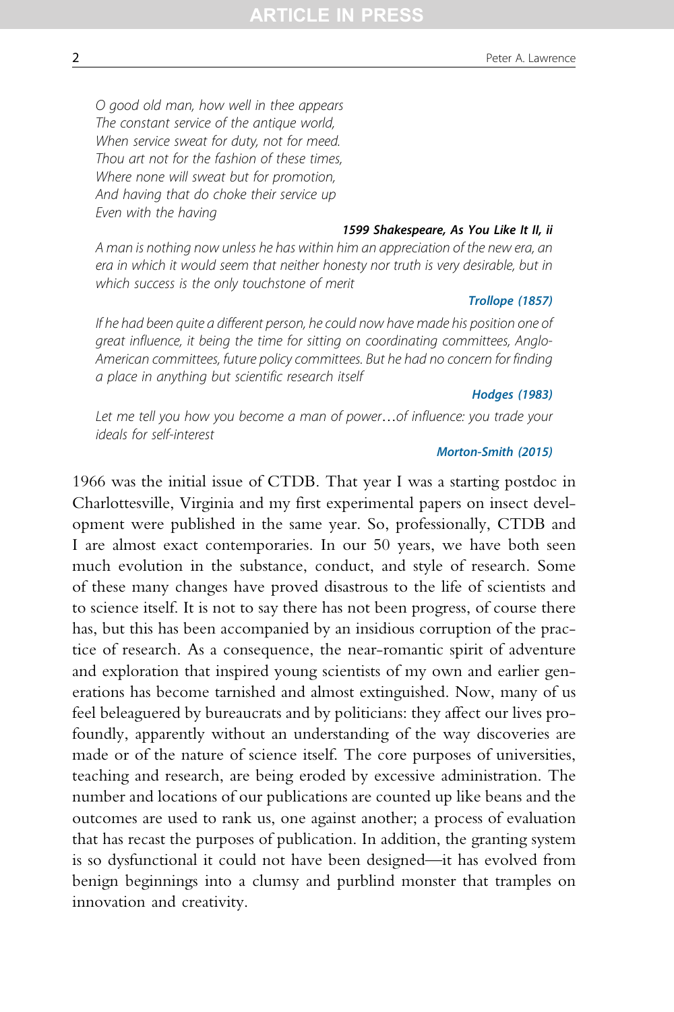O good old man, how well in thee appears The constant service of the antique world, When service sweat for duty, not for meed. Thou art not for the fashion of these times, Where none will sweat but for promotion, And having that do choke their service up Even with the having

#### 1599 Shakespeare, As You Like It II, ii

A man is nothing now unless he has within him an appreciation of the new era, an era in which it would seem that neither honesty nor truth is very desirable, but in which success is the only touchstone of merit

### [Trollope \(1857\)](#page-14-0)

If he had been quite a different person, he could now have made his position one of great influence, it being the time for sitting on coordinating committees, Anglo-American committees, future policy committees. But he had no concern for finding a place in anything but scientific research itself

## [Hodges \(1983\)](#page-13-0)

Let me tell you how you become a man of power…of influence: you trade your ideals for self-interest

## [Morton-Smith \(2015\)](#page-13-0)

1966 was the initial issue of CTDB. That year I was a starting postdoc in Charlottesville, Virginia and my first experimental papers on insect development were published in the same year. So, professionally, CTDB and I are almost exact contemporaries. In our 50 years, we have both seen much evolution in the substance, conduct, and style of research. Some of these many changes have proved disastrous to the life of scientists and to science itself. It is not to say there has not been progress, of course there has, but this has been accompanied by an insidious corruption of the practice of research. As a consequence, the near-romantic spirit of adventure and exploration that inspired young scientists of my own and earlier generations has become tarnished and almost extinguished. Now, many of us feel beleaguered by bureaucrats and by politicians: they affect our lives profoundly, apparently without an understanding of the way discoveries are made or of the nature of science itself. The core purposes of universities, teaching and research, are being eroded by excessive administration. The number and locations of our publications are counted up like beans and the outcomes are used to rank us, one against another; a process of evaluation that has recast the purposes of publication. In addition, the granting system is so dysfunctional it could not have been designed—it has evolved from benign beginnings into a clumsy and purblind monster that tramples on innovation and creativity.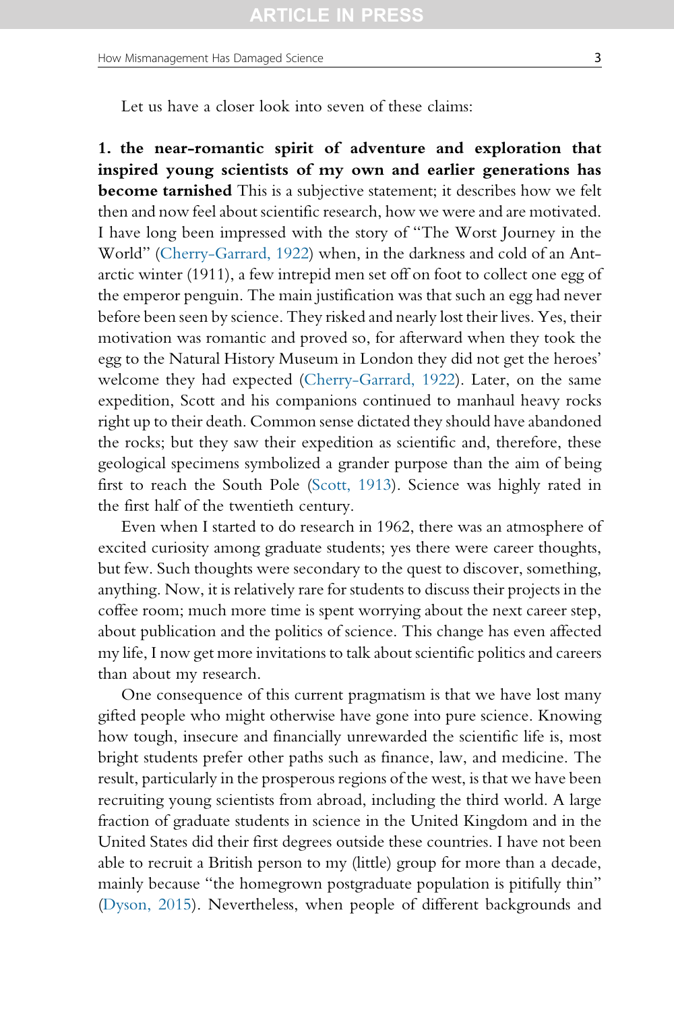Let us have a closer look into seven of these claims:

1. the near-romantic spirit of adventure and exploration that inspired young scientists of my own and earlier generations has **become tarnished** This is a subjective statement; it describes how we felt then and now feel about scientific research, how we were and are motivated. I have long been impressed with the story of "The Worst Journey in the World" ([Cherry-Garrard, 1922](#page-12-0)) when, in the darkness and cold of an Antarctic winter (1911), a few intrepid men set off on foot to collect one egg of the emperor penguin. The main justification was that such an egg had never before been seen by science. They risked and nearly lost their lives. Yes, their motivation was romantic and proved so, for afterward when they took the egg to the Natural History Museum in London they did not get the heroes' welcome they had expected ([Cherry-Garrard, 1922\)](#page-12-0). Later, on the same expedition, Scott and his companions continued to manhaul heavy rocks right up to their death. Common sense dictated they should have abandoned the rocks; but they saw their expedition as scientific and, therefore, these geological specimens symbolized a grander purpose than the aim of being first to reach the South Pole ([Scott, 1913\)](#page-13-0). Science was highly rated in the first half of the twentieth century.

Even when I started to do research in 1962, there was an atmosphere of excited curiosity among graduate students; yes there were career thoughts, but few. Such thoughts were secondary to the quest to discover, something, anything. Now, it is relatively rare for students to discuss their projects in the coffee room; much more time is spent worrying about the next career step, about publication and the politics of science. This change has even affected my life, I now get more invitations to talk about scientific politics and careers than about my research.

One consequence of this current pragmatism is that we have lost many gifted people who might otherwise have gone into pure science. Knowing how tough, insecure and financially unrewarded the scientific life is, most bright students prefer other paths such as finance, law, and medicine. The result, particularly in the prosperous regions of the west, is that we have been recruiting young scientists from abroad, including the third world. A large fraction of graduate students in science in the United Kingdom and in the United States did their first degrees outside these countries. I have not been able to recruit a British person to my (little) group for more than a decade, mainly because "the homegrown postgraduate population is pitifully thin" [\(Dyson, 2015\)](#page-13-0). Nevertheless, when people of different backgrounds and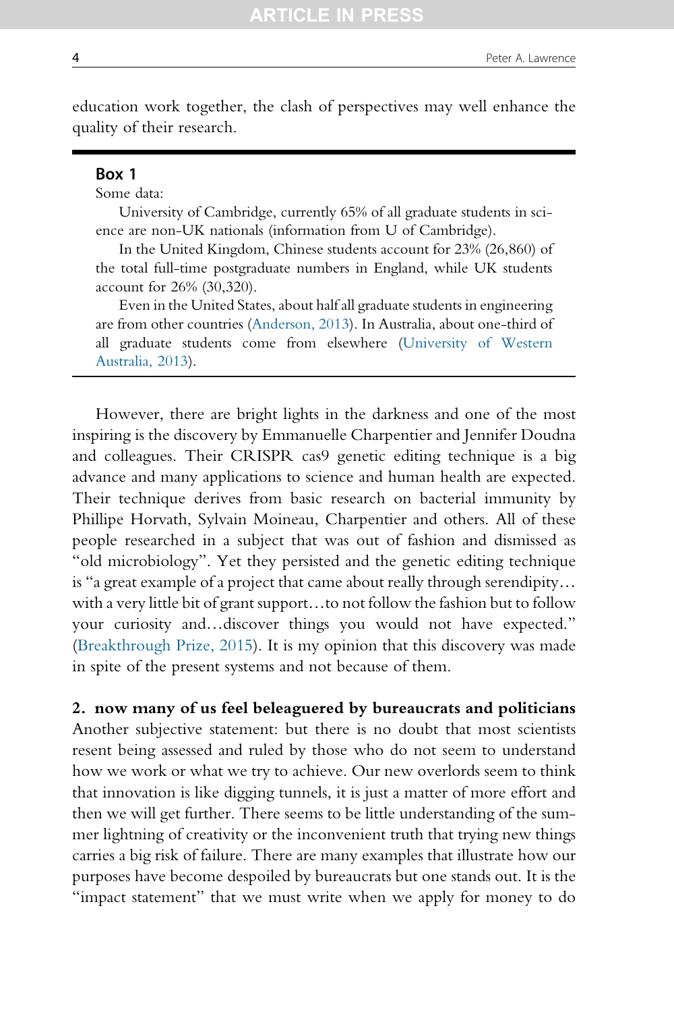education work together, the clash of perspectives may well enhance the quality of their research.

## Box 1

Some data:

University of Cambridge, currently 65% of all graduate students in science are non-UK nationals (information from U of Cambridge).

In the United Kingdom, Chinese students account for 23% (26,860) of the total full-time postgraduate numbers in England, while UK students account for 26% (30,320).

Even in the United States, about half all graduate students in engineering are from other countries [\(Anderson, 2013\)](#page-12-0). In Australia, about one-third of all graduate students come from elsewhere [\(University of Western](#page-14-0) [Australia, 2013\)](#page-14-0).

However, there are bright lights in the darkness and one of the most inspiring is the discovery by Emmanuelle Charpentier and Jennifer Doudna and colleagues. Their CRISPR cas9 genetic editing technique is a big advance and many applications to science and human health are expected. Their technique derives from basic research on bacterial immunity by Phillipe Horvath, Sylvain Moineau, Charpentier and others. All of these people researched in a subject that was out of fashion and dismissed as "old microbiology". Yet they persisted and the genetic editing technique is "a great example of a project that came about really through serendipity… with a very little bit of grant support…to not follow the fashion but to follow your curiosity and…discover things you would not have expected." ([Breakthrough Prize, 2015](#page-12-0)). It is my opinion that this discovery was made in spite of the present systems and not because of them.

2. now many of us feel beleaguered by bureaucrats and politicians Another subjective statement: but there is no doubt that most scientists resent being assessed and ruled by those who do not seem to understand how we work or what we try to achieve. Our new overlords seem to think that innovation is like digging tunnels, it is just a matter of more effort and then we will get further. There seems to be little understanding of the summer lightning of creativity or the inconvenient truth that trying new things carries a big risk of failure. There are many examples that illustrate how our purposes have become despoiled by bureaucrats but one stands out. It is the "impact statement" that we must write when we apply for money to do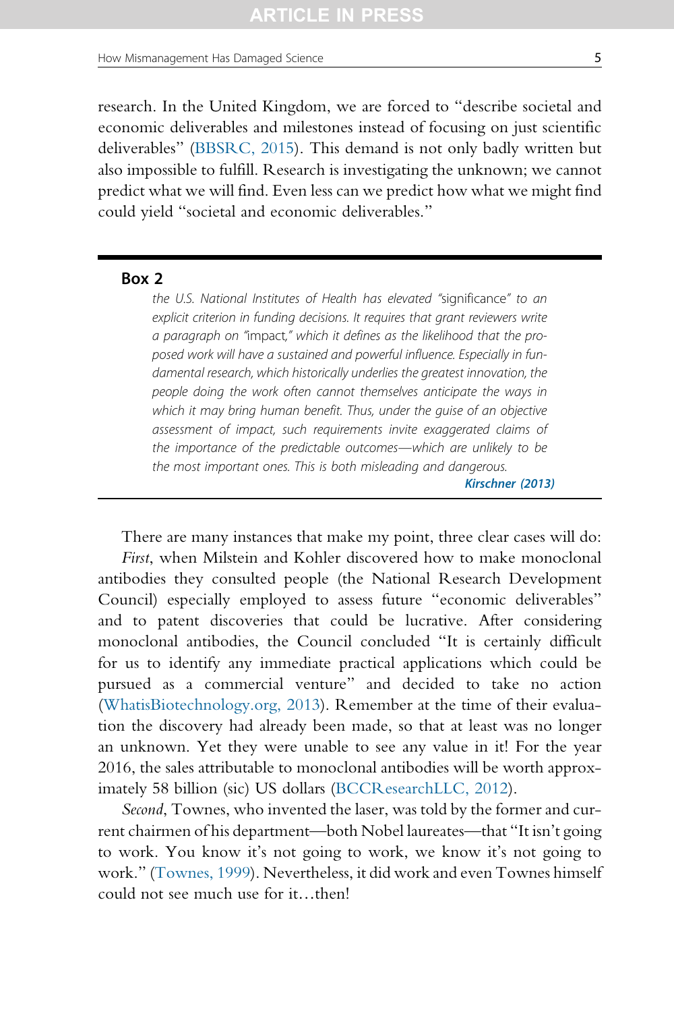How Mismanagement Has Damaged Science **5 5** 

research. In the United Kingdom, we are forced to "describe societal and economic deliverables and milestones instead of focusing on just scientific deliverables" ([BBSRC, 2015\)](#page-12-0). This demand is not only badly written but also impossible to fulfill. Research is investigating the unknown; we cannot predict what we will find. Even less can we predict how what we might find could yield "societal and economic deliverables."

# Box 2

the U.S. National Institutes of Health has elevated "significance" to an explicit criterion in funding decisions. It requires that grant reviewers write a paragraph on "impact," which it defines as the likelihood that the proposed work will have a sustained and powerful influence. Especially in fundamental research, which historically underlies the greatest innovation, the people doing the work often cannot themselves anticipate the ways in which it may bring human benefit. Thus, under the guise of an objective assessment of impact, such requirements invite exaggerated claims of the importance of the predictable outcomes—which are unlikely to be the most important ones. This is both misleading and dangerous.

[Kirschner \(2013\)](#page-13-0)

There are many instances that make my point, three clear cases will do: First, when Milstein and Kohler discovered how to make monoclonal antibodies they consulted people (the National Research Development Council) especially employed to assess future "economic deliverables" and to patent discoveries that could be lucrative. After considering monoclonal antibodies, the Council concluded "It is certainly difficult for us to identify any immediate practical applications which could be pursued as a commercial venture" and decided to take no action [\(WhatisBiotechnology.org, 2013](#page-14-0)). Remember at the time of their evaluation the discovery had already been made, so that at least was no longer an unknown. Yet they were unable to see any value in it! For the year 2016, the sales attributable to monoclonal antibodies will be worth approximately 58 billion (sic) US dollars [\(BCCResearchLLC, 2012\)](#page-12-0).

Second, Townes, who invented the laser, was told by the former and current chairmen of his department—both Nobel laureates—that "It isn't going to work. You know it's not going to work, we know it's not going to work." [\(Townes, 1999](#page-14-0)). Nevertheless, it did work and even Townes himself could not see much use for it…then!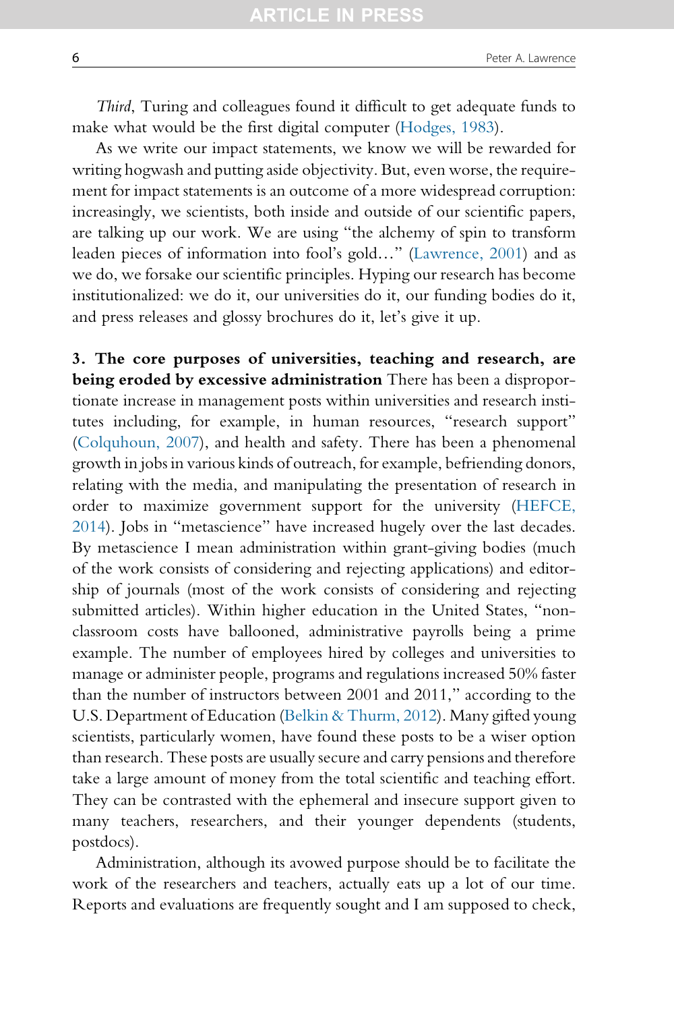Third, Turing and colleagues found it difficult to get adequate funds to make what would be the first digital computer [\(Hodges, 1983\)](#page-13-0).

As we write our impact statements, we know we will be rewarded for writing hogwash and putting aside objectivity. But, even worse, the requirement for impact statements is an outcome of a more widespread corruption: increasingly, we scientists, both inside and outside of our scientific papers, are talking up our work. We are using "the alchemy of spin to transform leaden pieces of information into fool's gold…" [\(Lawrence, 2001](#page-13-0)) and as we do, we forsake our scientific principles. Hyping our research has become institutionalized: we do it, our universities do it, our funding bodies do it, and press releases and glossy brochures do it, let's give it up.

3. The core purposes of universities, teaching and research, are being eroded by excessive administration There has been a disproportionate increase in management posts within universities and research institutes including, for example, in human resources, "research support" ([Colquhoun, 2007\)](#page-12-0), and health and safety. There has been a phenomenal growth in jobs in various kinds of outreach, for example, befriending donors, relating with the media, and manipulating the presentation of research in order to maximize government support for the university ([HEFCE,](#page-13-0) [2014\)](#page-13-0). Jobs in "metascience" have increased hugely over the last decades. By metascience I mean administration within grant-giving bodies (much of the work consists of considering and rejecting applications) and editorship of journals (most of the work consists of considering and rejecting submitted articles). Within higher education in the United States, "nonclassroom costs have ballooned, administrative payrolls being a prime example. The number of employees hired by colleges and universities to manage or administer people, programs and regulations increased 50% faster than the number of instructors between 2001 and 2011," according to the U.S. Department of Education [\(Belkin & Thurm, 2012](#page-12-0)). Many gifted young scientists, particularly women, have found these posts to be a wiser option than research. These posts are usually secure and carry pensions and therefore take a large amount of money from the total scientific and teaching effort. They can be contrasted with the ephemeral and insecure support given to many teachers, researchers, and their younger dependents (students, postdocs).

Administration, although its avowed purpose should be to facilitate the work of the researchers and teachers, actually eats up a lot of our time. Reports and evaluations are frequently sought and I am supposed to check,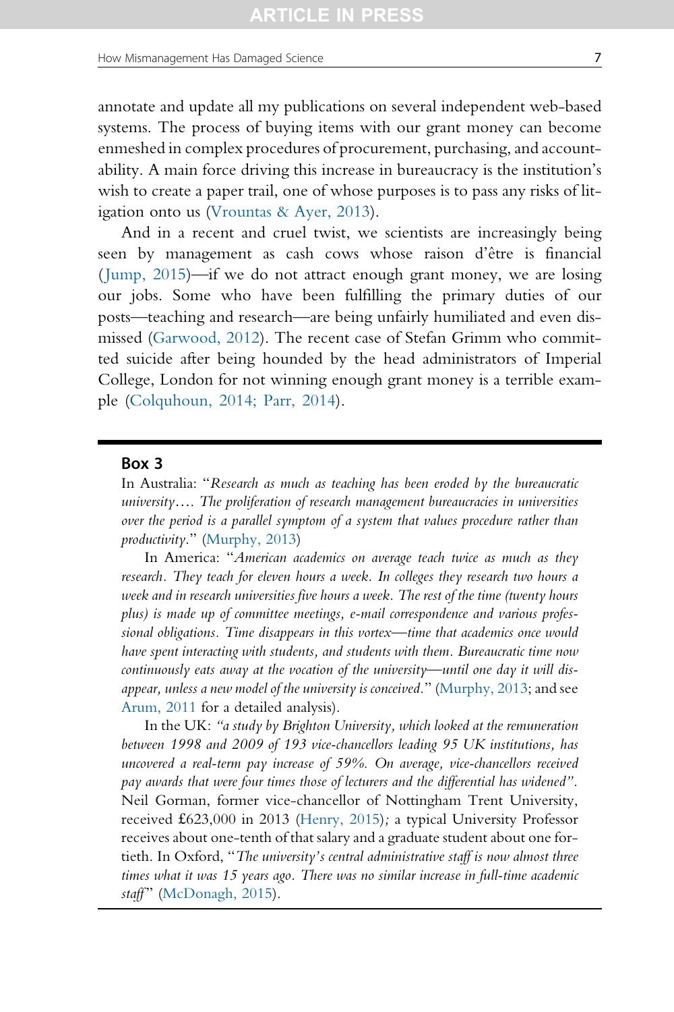annotate and update all my publications on several independent web-based systems. The process of buying items with our grant money can become enmeshed in complex procedures of procurement, purchasing, and accountability. A main force driving this increase in bureaucracy is the institution's wish to create a paper trail, one of whose purposes is to pass any risks of litigation onto us [\(Vrountas & Ayer, 2013](#page-14-0)).

And in a recent and cruel twist, we scientists are increasingly being seen by management as cash cows whose raison d'être is financial ([Jump, 2015](#page-13-0))—if we do not attract enough grant money, we are losing our jobs. Some who have been fulfilling the primary duties of our posts—teaching and research—are being unfairly humiliated and even dismissed ([Garwood, 2012](#page-13-0)). The recent case of Stefan Grimm who committed suicide after being hounded by the head administrators of Imperial College, London for not winning enough grant money is a terrible example [\(Colquhoun, 2014; Parr, 2014](#page-12-0)).

# Box 3

In Australia: "Research as much as teaching has been eroded by the bureaucratic university…. The proliferation of research management bureaucracies in universities over the period is a parallel symptom of a system that values procedure rather than productivity." [\(Murphy, 2013\)](#page-13-0)

In America: "American academics on average teach twice as much as they research. They teach for eleven hours a week. In colleges they research two hours a week and in research universities five hours a week. The rest of the time (twenty hours plus) is made up of committee meetings, e-mail correspondence and various professional obligations. Time disappears in this vortex—time that academics once would have spent interacting with students, and students with them. Bureaucratic time now continuously eats away at the vocation of the university—until one day it will disappear, unless a new model of the university is conceived." ([Murphy, 2013](#page-13-0); and see [Arum, 2011](#page-12-0) for a detailed analysis).

In the UK: "a study by Brighton University, which looked at the remuneration between 1998 and 2009 of 193 vice-chancellors leading 95 UK institutions, has uncovered a real-term pay increase of 59%. On average, vice-chancellors received pay awards that were four times those of lecturers and the differential has widened". Neil Gorman, former vice-chancellor of Nottingham Trent University, received £623,000 in 2013 [\(Henry, 2015](#page-13-0)); a typical University Professor receives about one-tenth of that salary and a graduate student about one fortieth. In Oxford, "The university's central administrative staff is now almost three times what it was 15 years ago. There was no similar increase in full-time academic  $staff$ " [\(McDonagh, 2015\)](#page-13-0).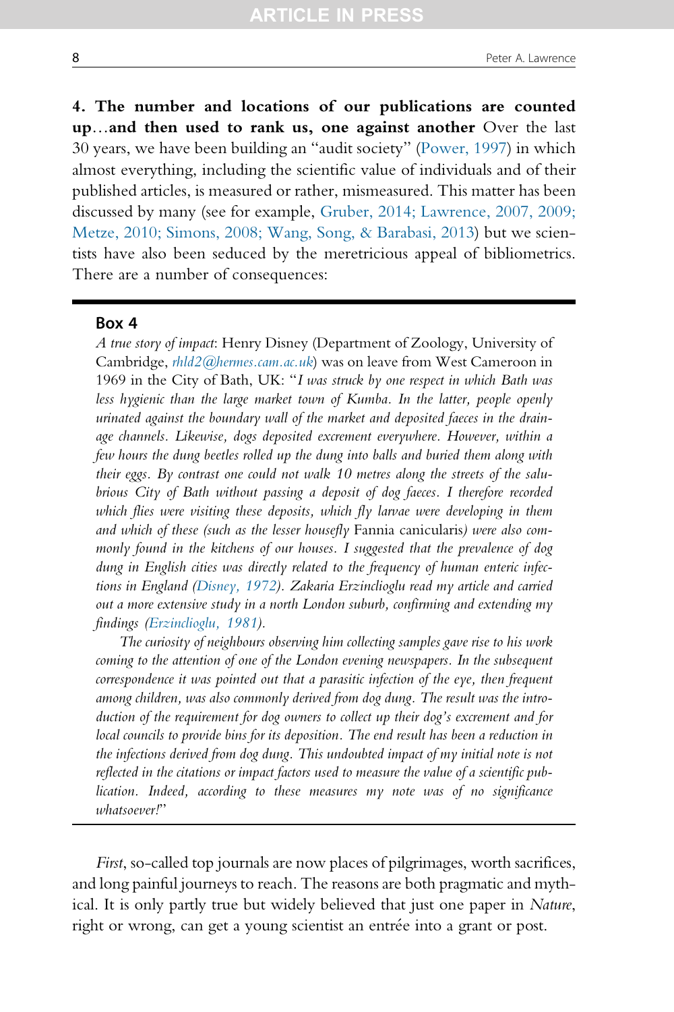4. The number and locations of our publications are counted up…and then used to rank us, one against another Over the last 30 years, we have been building an "audit society" ([Power, 1997\)](#page-13-0) in which almost everything, including the scientific value of individuals and of their published articles, is measured or rather, mismeasured. This matter has been discussed by many (see for example, [Gruber, 2014; Lawrence, 2007, 2009;](#page-13-0) [Metze, 2010; Simons, 2008; Wang, Song, & Barabasi, 2013](#page-13-0)) but we scientists have also been seduced by the meretricious appeal of bibliometrics. There are a number of consequences:

## Box 4

A true story of impact: Henry Disney (Department of Zoology, University of Cambridge, [rhld2@hermes.cam.ac.uk](mailto:rhld2@hermes.cam.ac.uk)) was on leave from West Cameroon in 1969 in the City of Bath, UK: "I was struck by one respect in which Bath was less hygienic than the large market town of Kumba. In the latter, people openly urinated against the boundary wall of the market and deposited faeces in the drainage channels. Likewise, dogs deposited excrement everywhere. However, within a few hours the dung beetles rolled up the dung into balls and buried them along with their eggs. By contrast one could not walk 10 metres along the streets of the salubrious City of Bath without passing a deposit of dog faeces. I therefore recorded which flies were visiting these deposits, which fly larvae were developing in them and which of these (such as the lesser housefly Fannia canicularis) were also commonly found in the kitchens of our houses. I suggested that the prevalence of dog dung in English cities was directly related to the frequency of human enteric infections in England ([Disney, 1972](#page-12-0)). Zakaria Erzinclioglu read my article and carried out a more extensive study in a north London suburb, confirming and extending my findings [\(Erzinclioglu, 1981\)](#page-13-0).

The curiosity of neighbours observing him collecting samples gave rise to his work coming to the attention of one of the London evening newspapers. In the subsequent correspondence it was pointed out that a parasitic infection of the eye, then frequent among children, was also commonly derived from dog dung. The result was the introduction of the requirement for dog owners to collect up their dog's excrement and for local councils to provide bins for its deposition. The end result has been a reduction in the infections derived from dog dung. This undoubted impact of my initial note is not reflected in the citations or impact factors used to measure the value of a scientific publication. Indeed, according to these measures my note was of no significance whatsoever!"

First, so-called top journals are now places of pilgrimages, worth sacrifices, and long painful journeys to reach. The reasons are both pragmatic and mythical. It is only partly true but widely believed that just one paper in Nature, right or wrong, can get a young scientist an entrée into a grant or post.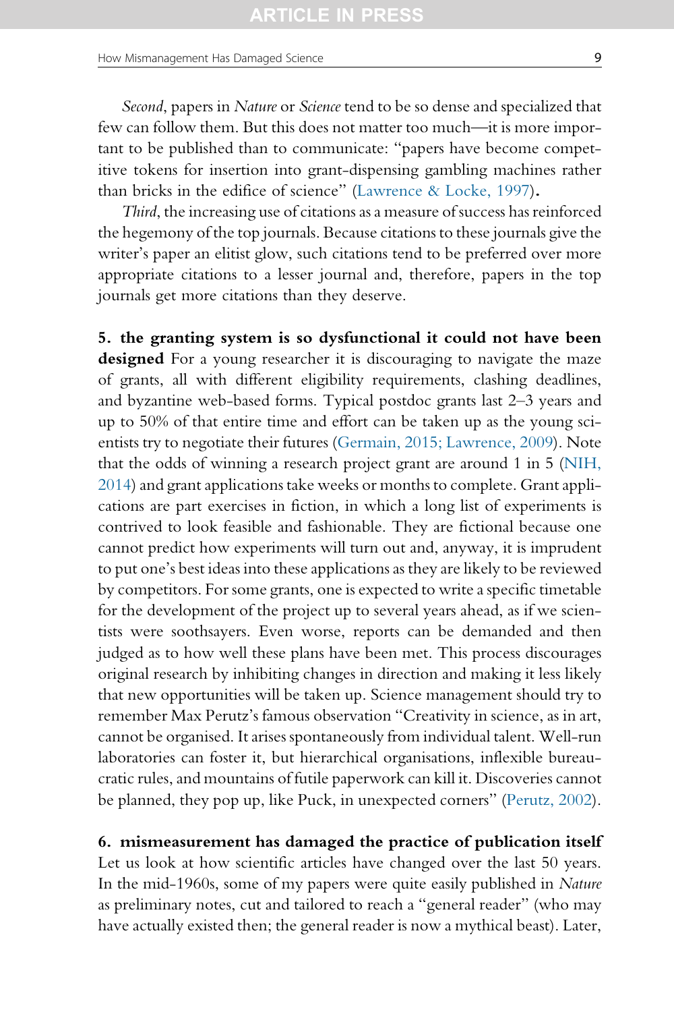#### How Mismanagement Has Damaged Science **9 and Science** 9 and 1992

Second, papers in Nature or Science tend to be so dense and specialized that few can follow them. But this does not matter too much—it is more important to be published than to communicate: "papers have become competitive tokens for insertion into grant-dispensing gambling machines rather than bricks in the edifice of science" ([Lawrence & Locke, 1997\)](#page-13-0).

Third, the increasing use of citations as a measure of success has reinforced the hegemony of the top journals. Because citations to these journals give the writer's paper an elitist glow, such citations tend to be preferred over more appropriate citations to a lesser journal and, therefore, papers in the top journals get more citations than they deserve.

5. the granting system is so dysfunctional it could not have been **designed** For a young researcher it is discouraging to navigate the maze of grants, all with different eligibility requirements, clashing deadlines, and byzantine web-based forms. Typical postdoc grants last 2–3 years and up to 50% of that entire time and effort can be taken up as the young scientists try to negotiate their futures [\(Germain, 2015; Lawrence, 2009\)](#page-13-0). Note that the odds of winning a research project grant are around 1 in 5 [\(NIH,](#page-13-0) [2014](#page-13-0)) and grant applications take weeks or months to complete. Grant applications are part exercises in fiction, in which a long list of experiments is contrived to look feasible and fashionable. They are fictional because one cannot predict how experiments will turn out and, anyway, it is imprudent to put one's best ideas into these applications as they are likely to be reviewed by competitors. For some grants, one is expected to write a specific timetable for the development of the project up to several years ahead, as if we scientists were soothsayers. Even worse, reports can be demanded and then judged as to how well these plans have been met. This process discourages original research by inhibiting changes in direction and making it less likely that new opportunities will be taken up. Science management should try to remember Max Perutz's famous observation "Creativity in science, as in art, cannot be organised. It arises spontaneously from individual talent. Well-run laboratories can foster it, but hierarchical organisations, inflexible bureaucratic rules, and mountains of futile paperwork can kill it. Discoveries cannot be planned, they pop up, like Puck, in unexpected corners" ([Perutz, 2002](#page-13-0)).

6. mismeasurement has damaged the practice of publication itself

Let us look at how scientific articles have changed over the last 50 years. In the mid-1960s, some of my papers were quite easily published in Nature as preliminary notes, cut and tailored to reach a "general reader" (who may have actually existed then; the general reader is now a mythical beast). Later,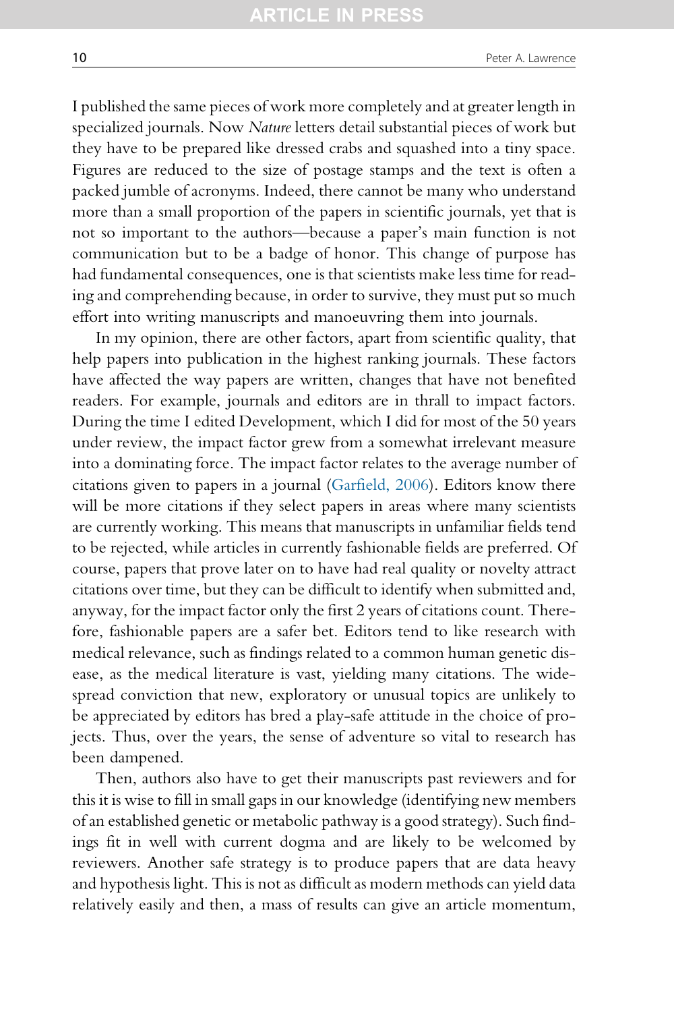I published the same pieces of work more completely and at greater length in specialized journals. Now Nature letters detail substantial pieces of work but they have to be prepared like dressed crabs and squashed into a tiny space. Figures are reduced to the size of postage stamps and the text is often a packed jumble of acronyms. Indeed, there cannot be many who understand more than a small proportion of the papers in scientific journals, yet that is not so important to the authors—because a paper's main function is not communication but to be a badge of honor. This change of purpose has had fundamental consequences, one is that scientists make less time for reading and comprehending because, in order to survive, they must put so much effort into writing manuscripts and manoeuvring them into journals.

In my opinion, there are other factors, apart from scientific quality, that help papers into publication in the highest ranking journals. These factors have affected the way papers are written, changes that have not benefited readers. For example, journals and editors are in thrall to impact factors. During the time I edited Development, which I did for most of the 50 years under review, the impact factor grew from a somewhat irrelevant measure into a dominating force. The impact factor relates to the average number of citations given to papers in a journal [\(Garfield, 2006\)](#page-13-0). Editors know there will be more citations if they select papers in areas where many scientists are currently working. This means that manuscripts in unfamiliar fields tend to be rejected, while articles in currently fashionable fields are preferred. Of course, papers that prove later on to have had real quality or novelty attract citations over time, but they can be difficult to identify when submitted and, anyway, for the impact factor only the first 2 years of citations count. Therefore, fashionable papers are a safer bet. Editors tend to like research with medical relevance, such as findings related to a common human genetic disease, as the medical literature is vast, yielding many citations. The widespread conviction that new, exploratory or unusual topics are unlikely to be appreciated by editors has bred a play-safe attitude in the choice of projects. Thus, over the years, the sense of adventure so vital to research has been dampened.

Then, authors also have to get their manuscripts past reviewers and for this it is wise to fill in small gaps in our knowledge (identifying new members of an established genetic or metabolic pathway is a good strategy). Such findings fit in well with current dogma and are likely to be welcomed by reviewers. Another safe strategy is to produce papers that are data heavy and hypothesis light. This is not as difficult as modern methods can yield data relatively easily and then, a mass of results can give an article momentum,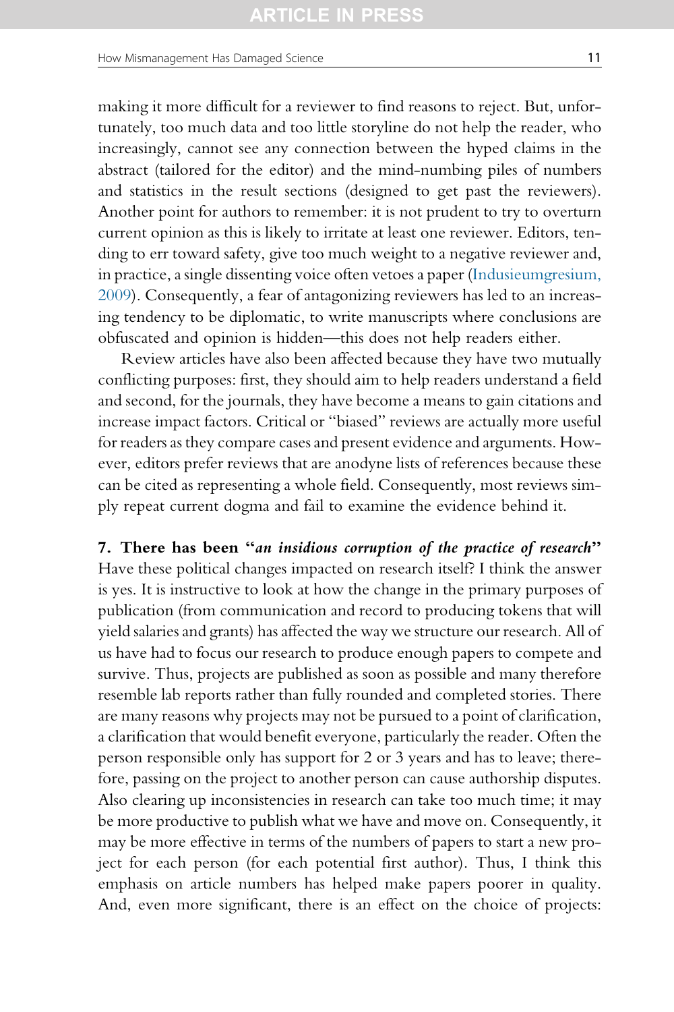making it more difficult for a reviewer to find reasons to reject. But, unfortunately, too much data and too little storyline do not help the reader, who increasingly, cannot see any connection between the hyped claims in the abstract (tailored for the editor) and the mind-numbing piles of numbers and statistics in the result sections (designed to get past the reviewers). Another point for authors to remember: it is not prudent to try to overturn current opinion as this is likely to irritate at least one reviewer. Editors, tending to err toward safety, give too much weight to a negative reviewer and, in practice, a single dissenting voice often vetoes a paper ([Indusieumgresium,](#page-13-0) [2009](#page-13-0)). Consequently, a fear of antagonizing reviewers has led to an increasing tendency to be diplomatic, to write manuscripts where conclusions are obfuscated and opinion is hidden—this does not help readers either.

Review articles have also been affected because they have two mutually conflicting purposes: first, they should aim to help readers understand a field and second, for the journals, they have become a means to gain citations and increase impact factors. Critical or "biased" reviews are actually more useful for readers as they compare cases and present evidence and arguments. However, editors prefer reviews that are anodyne lists of references because these can be cited as representing a whole field. Consequently, most reviews simply repeat current dogma and fail to examine the evidence behind it.

7. There has been "an insidious corruption of the practice of research" Have these political changes impacted on research itself? I think the answer is yes. It is instructive to look at how the change in the primary purposes of publication (from communication and record to producing tokens that will yield salaries and grants) has affected the way we structure our research. All of us have had to focus our research to produce enough papers to compete and survive. Thus, projects are published as soon as possible and many therefore resemble lab reports rather than fully rounded and completed stories. There are many reasons why projects may not be pursued to a point of clarification, a clarification that would benefit everyone, particularly the reader. Often the person responsible only has support for 2 or 3 years and has to leave; therefore, passing on the project to another person can cause authorship disputes. Also clearing up inconsistencies in research can take too much time; it may be more productive to publish what we have and move on. Consequently, it may be more effective in terms of the numbers of papers to start a new project for each person (for each potential first author). Thus, I think this emphasis on article numbers has helped make papers poorer in quality. And, even more significant, there is an effect on the choice of projects: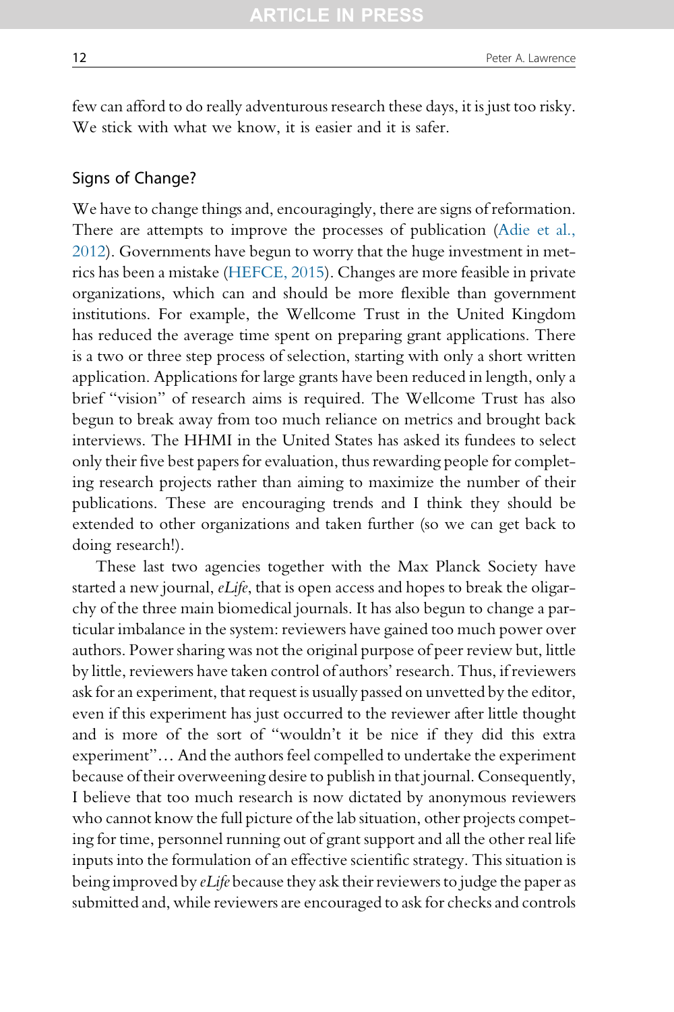few can afford to do really adventurous research these days, it is just too risky. We stick with what we know, it is easier and it is safer.

# Signs of Change?

We have to change things and, encouragingly, there are signs of reformation. There are attempts to improve the processes of publication [\(Adie et al.,](#page-12-0) [2012\)](#page-12-0). Governments have begun to worry that the huge investment in metrics has been a mistake [\(HEFCE, 2015](#page-13-0)). Changes are more feasible in private organizations, which can and should be more flexible than government institutions. For example, the Wellcome Trust in the United Kingdom has reduced the average time spent on preparing grant applications. There is a two or three step process of selection, starting with only a short written application. Applications for large grants have been reduced in length, only a brief "vision" of research aims is required. The Wellcome Trust has also begun to break away from too much reliance on metrics and brought back interviews. The HHMI in the United States has asked its fundees to select only their five best papers for evaluation, thus rewarding people for completing research projects rather than aiming to maximize the number of their publications. These are encouraging trends and I think they should be extended to other organizations and taken further (so we can get back to doing research!).

These last two agencies together with the Max Planck Society have started a new journal, *eLife*, that is open access and hopes to break the oligarchy of the three main biomedical journals. It has also begun to change a particular imbalance in the system: reviewers have gained too much power over authors. Power sharing was not the original purpose of peer review but, little by little, reviewers have taken control of authors' research. Thus, if reviewers ask for an experiment, that request is usually passed on unvetted by the editor, even if this experiment has just occurred to the reviewer after little thought and is more of the sort of "wouldn't it be nice if they did this extra experiment"… And the authors feel compelled to undertake the experiment because of their overweening desire to publish in that journal. Consequently, I believe that too much research is now dictated by anonymous reviewers who cannot know the full picture of the lab situation, other projects competing for time, personnel running out of grant support and all the other real life inputs into the formulation of an effective scientific strategy. This situation is being improved by *eLife* because they ask their reviewers to judge the paper as submitted and, while reviewers are encouraged to ask for checks and controls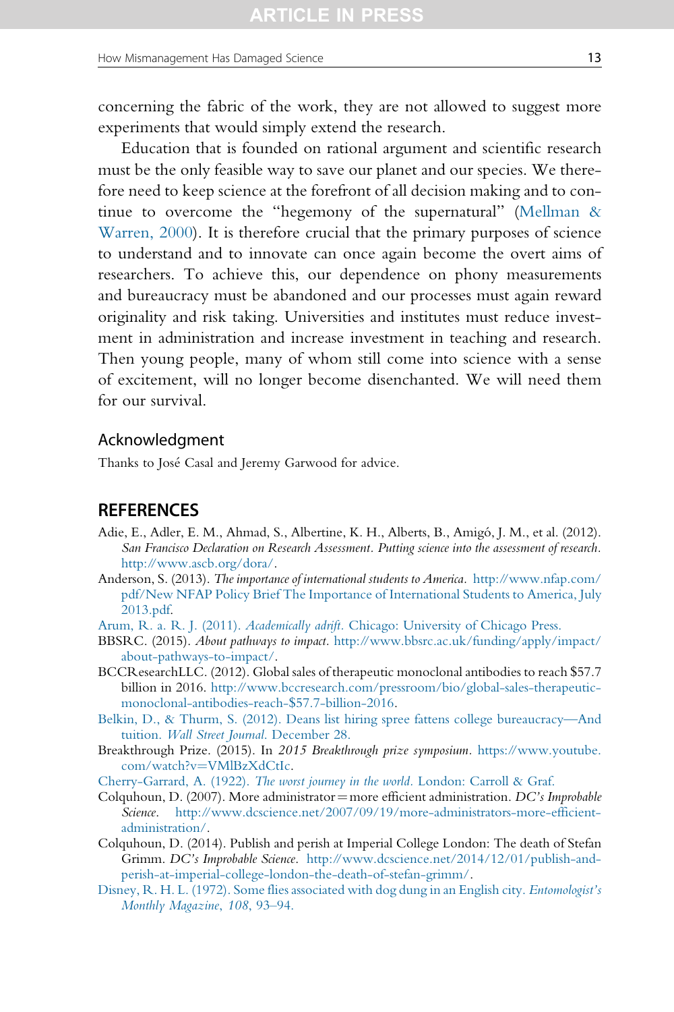<span id="page-12-0"></span>concerning the fabric of the work, they are not allowed to suggest more experiments that would simply extend the research.

Education that is founded on rational argument and scientific research must be the only feasible way to save our planet and our species. We therefore need to keep science at the forefront of all decision making and to continue to overcome the "hegemony of the supernatural" (Mellman  $\&$ [Warren, 2000\)](#page-13-0). It is therefore crucial that the primary purposes of science to understand and to innovate can once again become the overt aims of researchers. To achieve this, our dependence on phony measurements and bureaucracy must be abandoned and our processes must again reward originality and risk taking. Universities and institutes must reduce investment in administration and increase investment in teaching and research. Then young people, many of whom still come into science with a sense of excitement, will no longer become disenchanted. We will need them for our survival.

# Acknowledgment

Thanks to José Casal and Jeremy Garwood for advice.

# **REFERENCES**

- Adie, E., Adler, E. M., Ahmad, S., Albertine, K. H., Alberts, B., Amigó, J. M., et al. (2012). San Francisco Declaration on Research Assessment. Putting science into the assessment of research. [http://www.ascb.org/dora/.](http://www.ascb.org/dora/)
- Anderson, S. (2013). The importance of international students to America. [http://www.nfap.com/](http://www.nfap.com/pdf/New%20NFAP%20Policy%20Brief%20The%20Importance%20of%20International%20Students%20to%20America,%20July%202013.pdf) [pdf/New NFAP Policy Brief The Importance of International Students to America, July](http://www.nfap.com/pdf/New%20NFAP%20Policy%20Brief%20The%20Importance%20of%20International%20Students%20to%20America,%20July%202013.pdf) [2013.pdf.](http://www.nfap.com/pdf/New%20NFAP%20Policy%20Brief%20The%20Importance%20of%20International%20Students%20to%20America,%20July%202013.pdf)
- Arum, R. a. R. J. (2011). Academically adrift. [Chicago: University of Chicago Press.](http://refhub.elsevier.com/S0070-2153(15)00220-3/rf0015)
- BBSRC. (2015). About pathways to impact. [http://www.bbsrc.ac.uk/funding/apply/impact/](http://www.bbsrc.ac.uk/funding/apply/impact/about-pathways-to-impact/) [about-pathways-to-impact/](http://www.bbsrc.ac.uk/funding/apply/impact/about-pathways-to-impact/).
- BCCResearchLLC. (2012). Global sales of therapeutic monoclonal antibodies to reach \$57.7 billion in 2016. [http://www.bccresearch.com/pressroom/bio/global-sales-therapeutic](http://www.bccresearch.com/pressroom/bio/global-sales-therapeutic-monoclonal-antibodies-reach-$57.7-billion-2016)[monoclonal-antibodies-reach-](http://www.bccresearch.com/pressroom/bio/global-sales-therapeutic-monoclonal-antibodies-reach-$57.7-billion-2016)\$[57.7-billion-2016.](http://www.bccresearch.com/pressroom/bio/global-sales-therapeutic-monoclonal-antibodies-reach-$57.7-billion-2016)
- [Belkin, D., & Thurm, S. \(2012\). Deans list hiring spree fattens college bureaucracy—And](http://refhub.elsevier.com/S0070-2153(15)00220-3/rf0030) tuition. [Wall Street Journal](http://refhub.elsevier.com/S0070-2153(15)00220-3/rf0030). December 28.
- Breakthrough Prize. (2015). In 2015 Breakthrough prize symposium. [https://www.youtube.](https://www.youtube.com/watch?v=VMlBzXdCtIc) [com/watch?v](https://www.youtube.com/watch?v=VMlBzXdCtIc)=[VMlBzXdCtIc](https://www.youtube.com/watch?v=VMlBzXdCtIc).

Cherry-Garrard, A. (1922). [The worst journey in the world.](http://refhub.elsevier.com/S0070-2153(15)00220-3/rf0040) London: Carroll & Graf.

- Colquhoun, D. (2007). More administrator = more efficient administration. DC's Improbable Science. [http://www.dcscience.net/2007/09/19/more-administrators-more-efficient](http://www.dcscience.net/2007/09/19/more-administrators-more-efficient-administration/)[administration/](http://www.dcscience.net/2007/09/19/more-administrators-more-efficient-administration/).
- Colquhoun, D. (2014). Publish and perish at Imperial College London: The death of Stefan Grimm. DC's Improbable Science. [http://www.dcscience.net/2014/12/01/publish-and](http://www.dcscience.net/2014/12/01/publish-and-perish-at-imperial-college-london-the-death-of-stefan-grimm/)[perish-at-imperial-college-london-the-death-of-stefan-grimm/](http://www.dcscience.net/2014/12/01/publish-and-perish-at-imperial-college-london-the-death-of-stefan-grimm/).
- [Disney, R. H. L. \(1972\). Some flies associated with dog dung in an English city.](http://refhub.elsevier.com/S0070-2153(15)00220-3/rf0055) Entomologist's [Monthly Magazine](http://refhub.elsevier.com/S0070-2153(15)00220-3/rf0055), 108, 93–94.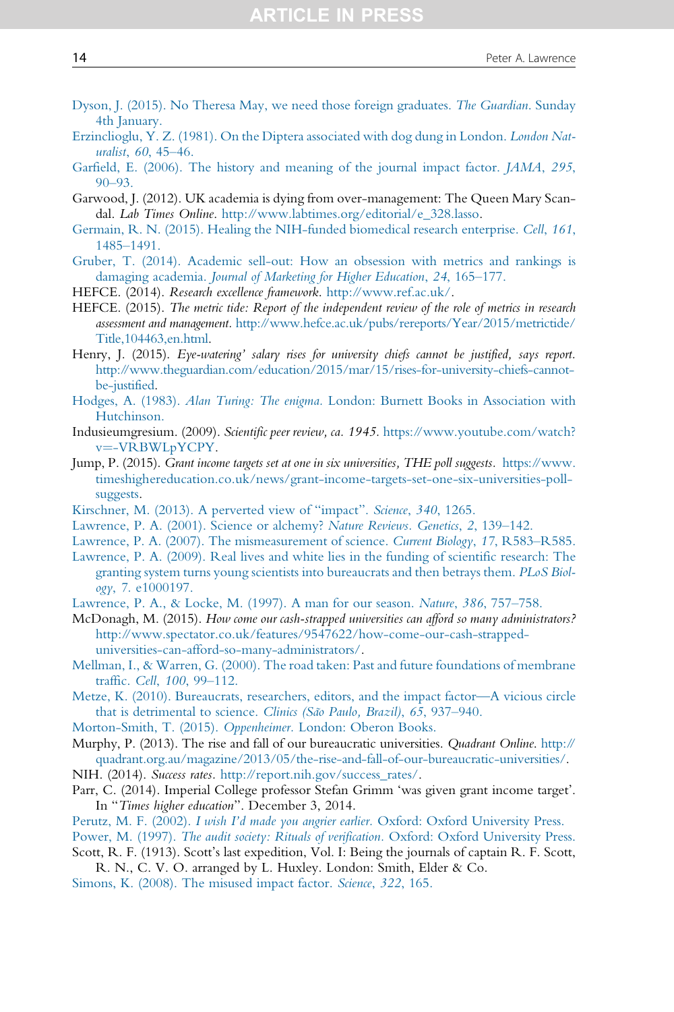- <span id="page-13-0"></span>[Dyson, J. \(2015\). No Theresa May, we need those foreign graduates.](http://refhub.elsevier.com/S0070-2153(15)00220-3/rf0060) The Guardian. Sunday [4th January.](http://refhub.elsevier.com/S0070-2153(15)00220-3/rf0060)
- [Erzinclioglu, Y. Z. \(1981\). On the Diptera associated with dog dung in London.](http://refhub.elsevier.com/S0070-2153(15)00220-3/rf0065) London Nat[uralist](http://refhub.elsevier.com/S0070-2153(15)00220-3/rf0065), 60, 45–46.
- [Garfield, E. \(2006\). The history and meaning of the journal impact factor.](http://refhub.elsevier.com/S0070-2153(15)00220-3/rf0070) JAMA, 295, 90–[93.](http://refhub.elsevier.com/S0070-2153(15)00220-3/rf0070)
- Garwood, J. (2012). UK academia is dying from over-management: The Queen Mary Scandal. Lab Times Online. [http://www.labtimes.org/editorial/e\\_328.lasso](http://www.labtimes.org/editorial/e_328.lasso).
- [Germain, R. N. \(2015\). Healing the NIH-funded biomedical research enterprise.](http://refhub.elsevier.com/S0070-2153(15)00220-3/rf0080) Cell, 161, 1485–[1491.](http://refhub.elsevier.com/S0070-2153(15)00220-3/rf0080)
- [Gruber, T. \(2014\). Academic sell-out: How an obsession with metrics and rankings is](http://refhub.elsevier.com/S0070-2153(15)00220-3/rf0085) damaging academia. [Journal of Marketing for Higher Education](http://refhub.elsevier.com/S0070-2153(15)00220-3/rf0085), 24, 165–177.
- HEFCE. (2014). Research excellence framework. <http://www.ref.ac.uk/>.
- HEFCE. (2015). The metric tide: Report of the independent review of the role of metrics in research assessment and management. [http://www.hefce.ac.uk/pubs/rereports/Year/2015/metrictide/](http://www.hefce.ac.uk/pubs/rereports/Year/2015/metrictide/Title,104463,en.html) [Title,104463,en.html](http://www.hefce.ac.uk/pubs/rereports/Year/2015/metrictide/Title,104463,en.html).
- Henry, J. (2015). Eye-watering' salary rises for university chiefs cannot be justified, says report. [http://www.theguardian.com/education/2015/mar/15/rises-for-university-chiefs-cannot](http://www.theguardian.com/education/2015/mar/15/rises-for-university-chiefs-cannot-be-justified)[be-justified.](http://www.theguardian.com/education/2015/mar/15/rises-for-university-chiefs-cannot-be-justified)
- Hodges, A. (1983). Alan Turing: The enigma. [London: Burnett Books in Association with](http://refhub.elsevier.com/S0070-2153(15)00220-3/rf0105) [Hutchinson.](http://refhub.elsevier.com/S0070-2153(15)00220-3/rf0105)
- Indusieumgresium. (2009). Scientific peer review, ca. 1945. [https://www.youtube.com/watch?](https://www.youtube.com/watch?v=-VRBWLpYCPY) [v](https://www.youtube.com/watch?v=-VRBWLpYCPY)=[-VRBWLpYCPY.](https://www.youtube.com/watch?v=-VRBWLpYCPY)
- Jump, P. (2015). Grant income targets set at one in six universities, THE poll suggests. [https://www.](https://www.timeshighereducation.co.uk/news/grant-income-targets-set-one-six-universities-poll-suggests) [timeshighereducation.co.uk/news/grant-income-targets-set-one-six-universities-poll](https://www.timeshighereducation.co.uk/news/grant-income-targets-set-one-six-universities-poll-suggests)[suggests](https://www.timeshighereducation.co.uk/news/grant-income-targets-set-one-six-universities-poll-suggests).
- [Kirschner, M. \(2013\). A perverted view of "impact".](http://refhub.elsevier.com/S0070-2153(15)00220-3/rf0120) Science, 340, 1265.
- [Lawrence, P. A. \(2001\). Science or alchemy?](http://refhub.elsevier.com/S0070-2153(15)00220-3/rf0125) Nature Reviews. Genetics, 2, 139–142.
- [Lawrence, P. A. \(2007\). The mismeasurement of science.](http://refhub.elsevier.com/S0070-2153(15)00220-3/rf0130) Current Biology, 17, R583–R585.
- [Lawrence, P. A. \(2009\). Real lives and white lies in the funding of scientific research: The](http://refhub.elsevier.com/S0070-2153(15)00220-3/rf0135) [granting system turns young scientists into bureaucrats and then betrays them.](http://refhub.elsevier.com/S0070-2153(15)00220-3/rf0135) PLoS Biology, 7. [e1000197.](http://refhub.elsevier.com/S0070-2153(15)00220-3/rf0135)
- [Lawrence, P. A., & Locke, M. \(1997\). A man for our season.](http://refhub.elsevier.com/S0070-2153(15)00220-3/rf0140) Nature, 386, 757–758.
- McDonagh, M. (2015). How come our cash-strapped universities can afford so many administrators? [http://www.spectator.co.uk/features/9547622/how-come-our-cash-strapped](http://www.spectator.co.uk/features/9547622/how-come-our-cash-strapped-universities-can-afford-so-many-administrators/)[universities-can-afford-so-many-administrators/](http://www.spectator.co.uk/features/9547622/how-come-our-cash-strapped-universities-can-afford-so-many-administrators/).
- [Mellman, I., & Warren, G. \(2000\). The road taken: Past and future foundations of membrane](http://refhub.elsevier.com/S0070-2153(15)00220-3/rf0150) [traffic.](http://refhub.elsevier.com/S0070-2153(15)00220-3/rf0150) Cell, 100, 99–112.
- [Metze, K. \(2010\). Bureaucrats, researchers, editors, and the impact factor—A vicious circle](http://refhub.elsevier.com/S0070-2153(15)00220-3/rf0155) [that is detrimental to science.](http://refhub.elsevier.com/S0070-2153(15)00220-3/rf0155) Clinics (São Paulo, Brazil), 65, 937–940.
- [Morton-Smith, T. \(2015\).](http://refhub.elsevier.com/S0070-2153(15)00220-3/rf0160) Oppenheimer. London: Oberon Books.
- Murphy, P. (2013). The rise and fall of our bureaucratic universities. Quadrant Online. [http://](http://quadrant.org.au/magazine/2013/05/the-rise-and-fall-of-our-bureaucratic-universities/) [quadrant.org.au/magazine/2013/05/the-rise-and-fall-of-our-bureaucratic-universities/.](http://quadrant.org.au/magazine/2013/05/the-rise-and-fall-of-our-bureaucratic-universities/) NIH. (2014). Success rates. [http://report.nih.gov/success\\_rates/](http://report.nih.gov/success_rates/).
- 
- Parr, C. (2014). Imperial College professor Stefan Grimm 'was given grant income target'. In "Times higher education". December 3, 2014.
- Perutz, M. F. (2002). I wish I'd made you angrier earlier. [Oxford: Oxford University Press.](http://refhub.elsevier.com/S0070-2153(15)00220-3/rf0175)
- Power, M. (1997). [The audit society: Rituals of verification.](http://refhub.elsevier.com/S0070-2153(15)00220-3/rf0180) Oxford: Oxford University Press.
- Scott, R. F. (1913). Scott's last expedition, Vol. I: Being the journals of captain R. F. Scott, R. N., C. V. O. arranged by L. Huxley. London: Smith, Elder & Co.
- [Simons, K. \(2008\). The misused impact factor.](http://refhub.elsevier.com/S0070-2153(15)00220-3/rf0185) Science, 322, 165.